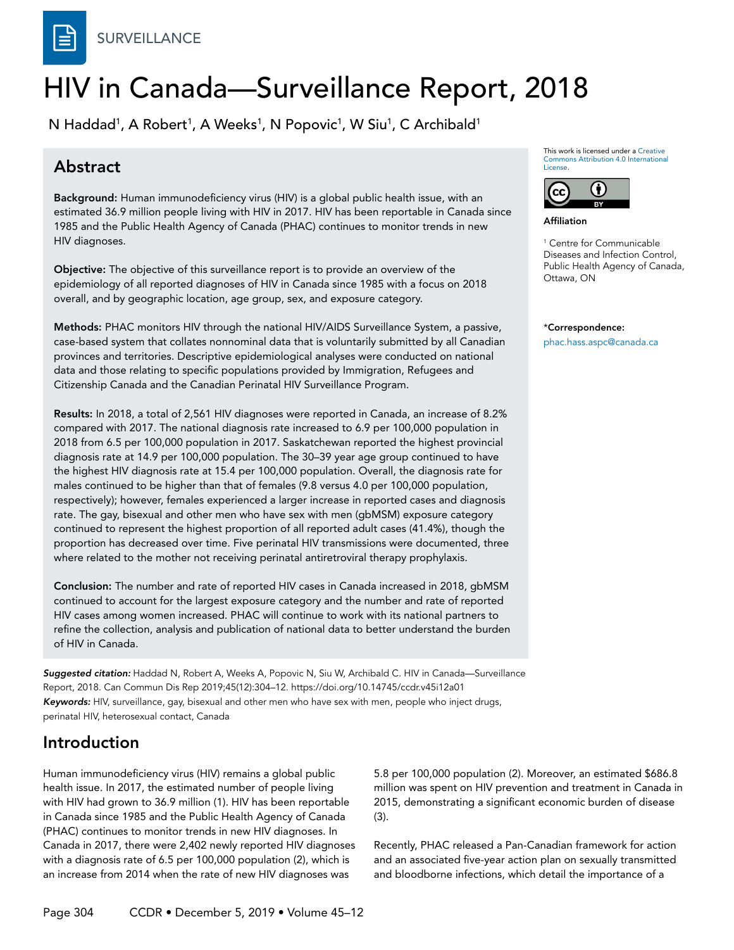

# HIV in Canada—Surveillance Report, 2018

N Haddad<sup>1</sup>, A Robert<sup>1</sup>, A Weeks<sup>1</sup>, N Popovic<sup>1</sup>, W Siu<sup>1</sup>, C Archibald<sup>1</sup>

# Abstract

Background: Human immunodeficiency virus (HIV) is a global public health issue, with an estimated 36.9 million people living with HIV in 2017. HIV has been reportable in Canada since 1985 and the Public Health Agency of Canada (PHAC) continues to monitor trends in new HIV diagnoses.

Objective: The objective of this surveillance report is to provide an overview of the epidemiology of all reported diagnoses of HIV in Canada since 1985 with a focus on 2018 overall, and by geographic location, age group, sex, and exposure category.

Methods: PHAC monitors HIV through the national HIV/AIDS Surveillance System, a passive, case-based system that collates nonnominal data that is voluntarily submitted by all Canadian provinces and territories. Descriptive epidemiological analyses were conducted on national data and those relating to specific populations provided by Immigration, Refugees and Citizenship Canada and the Canadian Perinatal HIV Surveillance Program.

Results: In 2018, a total of 2,561 HIV diagnoses were reported in Canada, an increase of 8.2% compared with 2017. The national diagnosis rate increased to 6.9 per 100,000 population in 2018 from 6.5 per 100,000 population in 2017. Saskatchewan reported the highest provincial diagnosis rate at 14.9 per 100,000 population. The 30–39 year age group continued to have the highest HIV diagnosis rate at 15.4 per 100,000 population. Overall, the diagnosis rate for males continued to be higher than that of females (9.8 versus 4.0 per 100,000 population, respectively); however, females experienced a larger increase in reported cases and diagnosis rate. The gay, bisexual and other men who have sex with men (gbMSM) exposure category continued to represent the highest proportion of all reported adult cases (41.4%), though the proportion has decreased over time. Five perinatal HIV transmissions were documented, three where related to the mother not receiving perinatal antiretroviral therapy prophylaxis.

Conclusion: The number and rate of reported HIV cases in Canada increased in 2018, gbMSM continued to account for the largest exposure category and the number and rate of reported HIV cases among women increased. PHAC will continue to work with its national partners to refine the collection, analysis and publication of national data to better understand the burden of HIV in Canada.

*Suggested citation:* Haddad N, Robert A, Weeks A, Popovic N, Siu W, Archibald C. HIV in Canada—Surveillance Report, 2018. Can Commun Dis Rep 2019;45(12):304–12. https://doi.org/10.14745/ccdr.v45i12a01 *Keywords:* HIV, surveillance, gay, bisexual and other men who have sex with men, people who inject drugs, perinatal HIV, heterosexual contact, Canada

# Introduction

Human immunodeficiency virus (HIV) remains a global public health issue. In 2017, the estimated number of people living with HIV had grown to 36.9 million (1). HIV has been reportable in Canada since 1985 and the Public Health Agency of Canada (PHAC) continues to monitor trends in new HIV diagnoses. In Canada in 2017, there were 2,402 newly reported HIV diagnoses with a diagnosis rate of 6.5 per 100,000 population (2), which is an increase from 2014 when the rate of new HIV diagnoses was

5.8 per 100,000 population (2). Moreover, an estimated \$686.8 million was spent on HIV prevention and treatment in Canada in 2015, demonstrating a significant economic burden of disease (3).

Recently, PHAC released a Pan-Canadian framework for action and an associated five-year action plan on sexually transmitted and bloodborne infections, which detail the importance of a

This work is licensed under a [Creative](https://creativecommons.org/licenses/by/4.0/)  [Commons Attribution 4.0 International](https://creativecommons.org/licenses/by/4.0/)  [License](https://creativecommons.org/licenses/by/4.0/).



Affiliation

1 Centre for Communicable Diseases and Infection Control, Public Health Agency of Canada, Ottawa, ON

\*Correspondence: phac.hass.aspc@canada.ca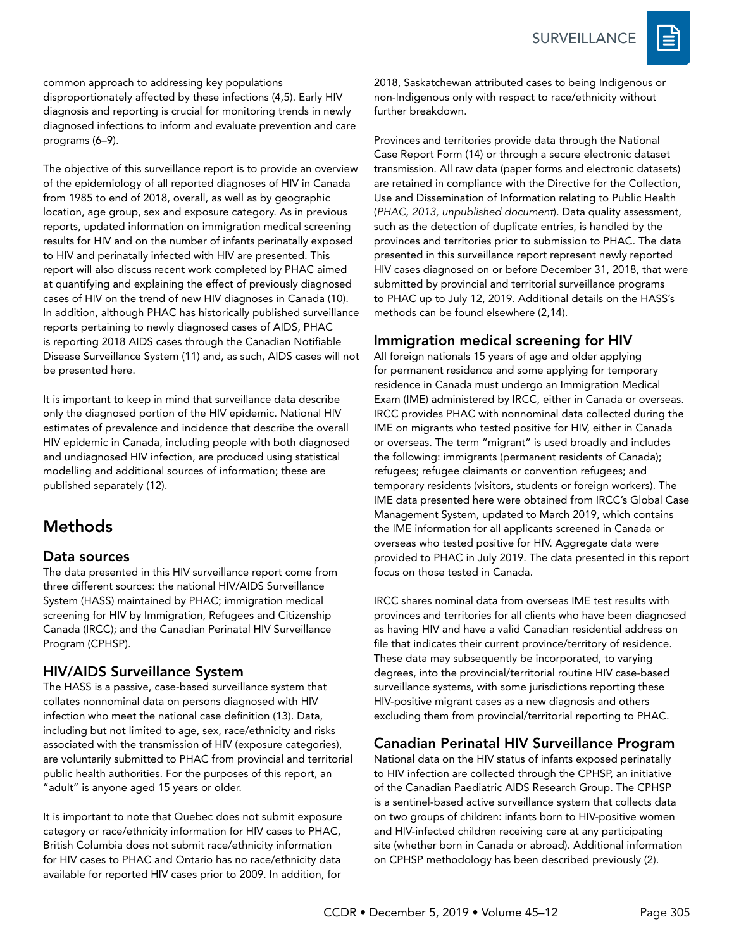

common approach to addressing key populations disproportionately affected by these infections (4,5). Early HIV diagnosis and reporting is crucial for monitoring trends in newly diagnosed infections to inform and evaluate prevention and care programs (6–9).

The objective of this surveillance report is to provide an overview of the epidemiology of all reported diagnoses of HIV in Canada from 1985 to end of 2018, overall, as well as by geographic location, age group, sex and exposure category. As in previous reports, updated information on immigration medical screening results for HIV and on the number of infants perinatally exposed to HIV and perinatally infected with HIV are presented. This report will also discuss recent work completed by PHAC aimed at quantifying and explaining the effect of previously diagnosed cases of HIV on the trend of new HIV diagnoses in Canada (10). In addition, although PHAC has historically published surveillance reports pertaining to newly diagnosed cases of AIDS, PHAC is reporting 2018 AIDS cases through the Canadian Notifiable Disease Surveillance System (11) and, as such, AIDS cases will not be presented here.

It is important to keep in mind that surveillance data describe only the diagnosed portion of the HIV epidemic. National HIV estimates of prevalence and incidence that describe the overall HIV epidemic in Canada, including people with both diagnosed and undiagnosed HIV infection, are produced using statistical modelling and additional sources of information; these are published separately (12).

# Methods

# Data sources

The data presented in this HIV surveillance report come from three different sources: the national HIV/AIDS Surveillance System (HASS) maintained by PHAC; immigration medical screening for HIV by Immigration, Refugees and Citizenship Canada (IRCC); and the Canadian Perinatal HIV Surveillance Program (CPHSP).

# HIV/AIDS Surveillance System

The HASS is a passive, case-based surveillance system that collates nonnominal data on persons diagnosed with HIV infection who meet the national case definition (13). Data, including but not limited to age, sex, race/ethnicity and risks associated with the transmission of HIV (exposure categories), are voluntarily submitted to PHAC from provincial and territorial public health authorities. For the purposes of this report, an "adult" is anyone aged 15 years or older.

It is important to note that Quebec does not submit exposure category or race/ethnicity information for HIV cases to PHAC, British Columbia does not submit race/ethnicity information for HIV cases to PHAC and Ontario has no race/ethnicity data available for reported HIV cases prior to 2009. In addition, for

2018, Saskatchewan attributed cases to being Indigenous or non-Indigenous only with respect to race/ethnicity without further breakdown.

Provinces and territories provide data through the National Case Report Form (14) or through a secure electronic dataset transmission. All raw data (paper forms and electronic datasets) are retained in compliance with the Directive for the Collection, Use and Dissemination of Information relating to Public Health (*PHAC, 2013, unpublished document*). Data quality assessment, such as the detection of duplicate entries, is handled by the provinces and territories prior to submission to PHAC. The data presented in this surveillance report represent newly reported HIV cases diagnosed on or before December 31, 2018, that were submitted by provincial and territorial surveillance programs to PHAC up to July 12, 2019. Additional details on the HASS's methods can be found elsewhere (2,14).

# Immigration medical screening for HIV

All foreign nationals 15 years of age and older applying for permanent residence and some applying for temporary residence in Canada must undergo an Immigration Medical Exam (IME) administered by IRCC, either in Canada or overseas. IRCC provides PHAC with nonnominal data collected during the IME on migrants who tested positive for HIV, either in Canada or overseas. The term "migrant" is used broadly and includes the following: immigrants (permanent residents of Canada); refugees; refugee claimants or convention refugees; and temporary residents (visitors, students or foreign workers). The IME data presented here were obtained from IRCC's Global Case Management System, updated to March 2019, which contains the IME information for all applicants screened in Canada or overseas who tested positive for HIV. Aggregate data were provided to PHAC in July 2019. The data presented in this report focus on those tested in Canada.

IRCC shares nominal data from overseas IME test results with provinces and territories for all clients who have been diagnosed as having HIV and have a valid Canadian residential address on file that indicates their current province/territory of residence. These data may subsequently be incorporated, to varying degrees, into the provincial/territorial routine HIV case-based surveillance systems, with some jurisdictions reporting these HIV-positive migrant cases as a new diagnosis and others excluding them from provincial/territorial reporting to PHAC.

# Canadian Perinatal HIV Surveillance Program

National data on the HIV status of infants exposed perinatally to HIV infection are collected through the CPHSP, an initiative of the Canadian Paediatric AIDS Research Group. The CPHSP is a sentinel-based active surveillance system that collects data on two groups of children: infants born to HIV-positive women and HIV-infected children receiving care at any participating site (whether born in Canada or abroad). Additional information on CPHSP methodology has been described previously (2).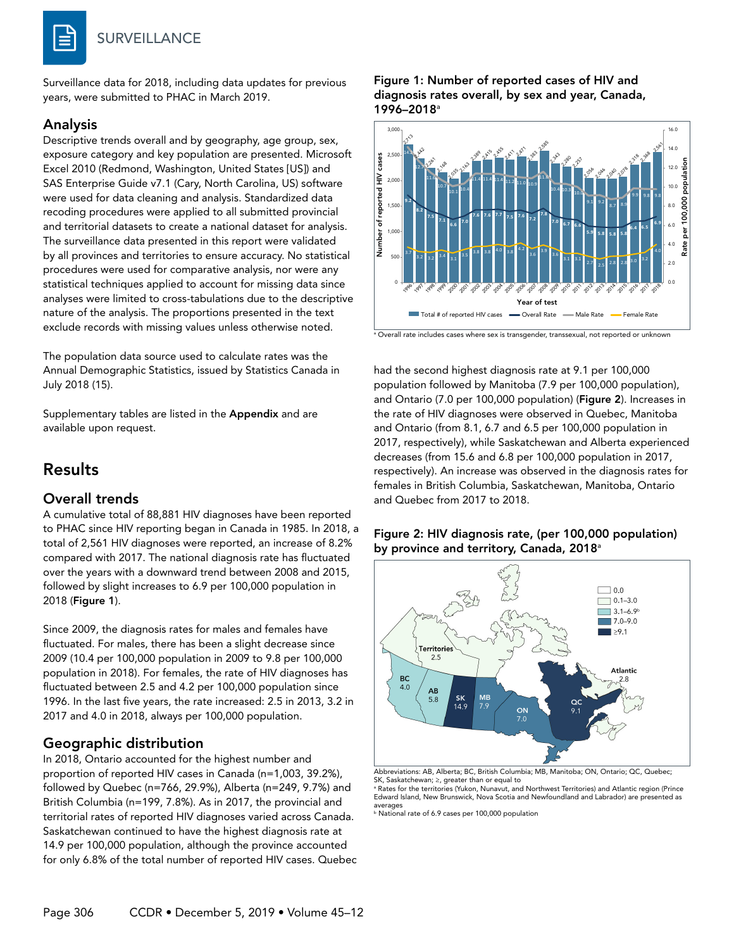

Surveillance data for 2018, including data updates for previous years, were submitted to PHAC in March 2019.

### Analysis

Descriptive trends overall and by geography, age group, sex, exposure category and key population are presented. Microsoft Excel 2010 (Redmond, Washington, United States [US]) and SAS Enterprise Guide v7.1 (Cary, North Carolina, US) software were used for data cleaning and analysis. Standardized data recoding procedures were applied to all submitted provincial and territorial datasets to create a national dataset for analysis. The surveillance data presented in this report were validated by all provinces and territories to ensure accuracy. No statistical procedures were used for comparative analysis, nor were any statistical techniques applied to account for missing data since analyses were limited to cross-tabulations due to the descriptive nature of the analysis. The proportions presented in the text exclude records with missing values unless otherwise noted.

The population data source used to calculate rates was the Annual Demographic Statistics, issued by Statistics Canada in July 2018 (15).

Supplementary tables are listed in the Appendix and are available upon request.

# Results

### Overall trends

A cumulative total of 88,881 HIV diagnoses have been reported to PHAC since HIV reporting began in Canada in 1985. In 2018, a total of 2,561 HIV diagnoses were reported, an increase of 8.2% compared with 2017. The national diagnosis rate has fluctuated over the years with a downward trend between 2008 and 2015, followed by slight increases to 6.9 per 100,000 population in 2018 (Figure 1).

Since 2009, the diagnosis rates for males and females have fluctuated. For males, there has been a slight decrease since 2009 (10.4 per 100,000 population in 2009 to 9.8 per 100,000 population in 2018). For females, the rate of HIV diagnoses has fluctuated between 2.5 and 4.2 per 100,000 population since 1996. In the last five years, the rate increased: 2.5 in 2013, 3.2 in 2017 and 4.0 in 2018, always per 100,000 population.

# Geographic distribution

In 2018, Ontario accounted for the highest number and proportion of reported HIV cases in Canada (n=1,003, 39.2%), followed by Quebec (n=766, 29.9%), Alberta (n=249, 9.7%) and British Columbia (n=199, 7.8%). As in 2017, the provincial and territorial rates of reported HIV diagnoses varied across Canada. Saskatchewan continued to have the highest diagnosis rate at 14.9 per 100,000 population, although the province accounted for only 6.8% of the total number of reported HIV cases. Quebec

#### Figure 1: Number of reported cases of HIV and diagnosis rates overall, by sex and year, Canada, 1996–2018<sup>a</sup>



a Overall rate includes cases where sex is transgender, transsexual, not reported or unknown

had the second highest diagnosis rate at 9.1 per 100,000 population followed by Manitoba (7.9 per 100,000 population), and Ontario (7.0 per 100,000 population) (Figure 2). Increases in the rate of HIV diagnoses were observed in Quebec, Manitoba and Ontario (from 8.1, 6.7 and 6.5 per 100,000 population in 2017, respectively), while Saskatchewan and Alberta experienced decreases (from 15.6 and 6.8 per 100,000 population in 2017, respectively). An increase was observed in the diagnosis rates for females in British Columbia, Saskatchewan, Manitoba, Ontario and Quebec from 2017 to 2018.

#### Figure 2: HIV diagnosis rate, (per 100,000 population) by province and territory, Canada, 2018<sup>a</sup>



Abbreviations: AB, Alberta; BC, British Columbia; MB, Manitoba; ON, Ontario; QC, Quebec; SK, Saskatchewan; ≥, greater than or equal to a Rates for the territories (Yukon, Nunavut, and Northwest Territories) and Atlantic region (Prince

Edward Island, New Brunswick, Nova Scotia and Newfoundland and Labrador) are presented as averages<br><sup>b</sup> National rate of 6.9 cases per 100,000 population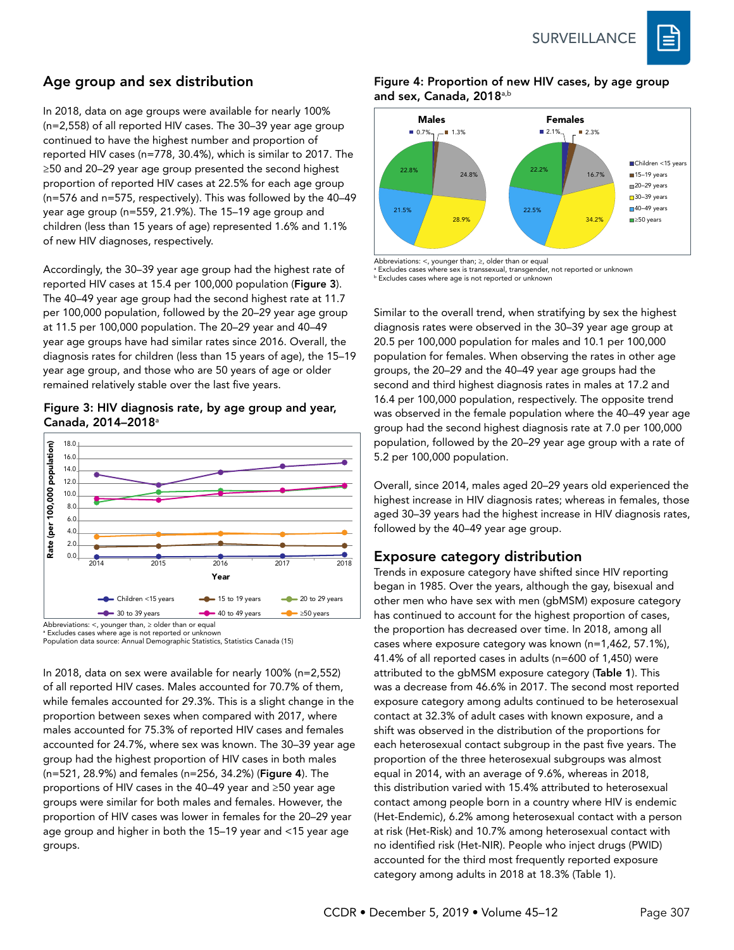

# Age group and sex distribution

In 2018, data on age groups were available for nearly 100% (n=2,558) of all reported HIV cases. The 30–39 year age group continued to have the highest number and proportion of reported HIV cases (n=778, 30.4%), which is similar to 2017. The ≥50 and 20–29 year age group presented the second highest proportion of reported HIV cases at 22.5% for each age group (n=576 and n=575, respectively). This was followed by the 40–49 year age group (n=559, 21.9%). The 15–19 age group and children (less than 15 years of age) represented 1.6% and 1.1% of new HIV diagnoses, respectively.

Accordingly, the 30–39 year age group had the highest rate of reported HIV cases at 15.4 per 100,000 population (Figure 3). The 40–49 year age group had the second highest rate at 11.7 per 100,000 population, followed by the 20–29 year age group at 11.5 per 100,000 population. The 20–29 year and 40–49 year age groups have had similar rates since 2016. Overall, the diagnosis rates for children (less than 15 years of age), the 15–19 year age group, and those who are 50 years of age or older remained relatively stable over the last five years.

#### Figure 3: HIV diagnosis rate, by age group and year, Canada, 2014–2018<sup>a</sup>



<sup>a</sup> Excludes cases where age is not reported or unknown

Population data source: Annual Demographic Statistics, Statistics Canada (15)

In 2018, data on sex were available for nearly 100% (n=2,552) of all reported HIV cases. Males accounted for 70.7% of them, while females accounted for 29.3%. This is a slight change in the proportion between sexes when compared with 2017, where males accounted for 75.3% of reported HIV cases and females accounted for 24.7%, where sex was known. The 30–39 year age group had the highest proportion of HIV cases in both males (n=521, 28.9%) and females (n=256, 34.2%) (Figure 4). The proportions of HIV cases in the 40–49 year and ≥50 year age groups were similar for both males and females. However, the proportion of HIV cases was lower in females for the 20–29 year age group and higher in both the 15–19 year and <15 year age groups.

#### Figure 4: Proportion of new HIV cases, by age group and sex, Canada, 2018<sup>a,b</sup>



Abbreviations: <, younger than; ≥, older than or equal a Excludes cases where sex is transsexual, transgender, not reported or unknown **b** Excludes cases where age is not reported or unknown

Similar to the overall trend, when stratifying by sex the highest diagnosis rates were observed in the 30–39 year age group at 20.5 per 100,000 population for males and 10.1 per 100,000 population for females. When observing the rates in other age groups, the 20–29 and the 40–49 year age groups had the second and third highest diagnosis rates in males at 17.2 and 16.4 per 100,000 population, respectively. The opposite trend was observed in the female population where the 40–49 year age group had the second highest diagnosis rate at 7.0 per 100,000 population, followed by the 20–29 year age group with a rate of 5.2 per 100,000 population.

Overall, since 2014, males aged 20–29 years old experienced the highest increase in HIV diagnosis rates; whereas in females, those aged 30–39 years had the highest increase in HIV diagnosis rates, followed by the 40–49 year age group.

# Exposure category distribution

Trends in exposure category have shifted since HIV reporting began in 1985. Over the years, although the gay, bisexual and other men who have sex with men (gbMSM) exposure category has continued to account for the highest proportion of cases, the proportion has decreased over time. In 2018, among all cases where exposure category was known (n=1,462, 57.1%), 41.4% of all reported cases in adults (n=600 of 1,450) were attributed to the gbMSM exposure category (Table 1). This was a decrease from 46.6% in 2017. The second most reported exposure category among adults continued to be heterosexual contact at 32.3% of adult cases with known exposure, and a shift was observed in the distribution of the proportions for each heterosexual contact subgroup in the past five years. The proportion of the three heterosexual subgroups was almost equal in 2014, with an average of 9.6%, whereas in 2018, this distribution varied with 15.4% attributed to heterosexual contact among people born in a country where HIV is endemic (Het-Endemic), 6.2% among heterosexual contact with a person at risk (Het-Risk) and 10.7% among heterosexual contact with no identified risk (Het-NIR). People who inject drugs (PWID) accounted for the third most frequently reported exposure category among adults in 2018 at 18.3% (Table 1).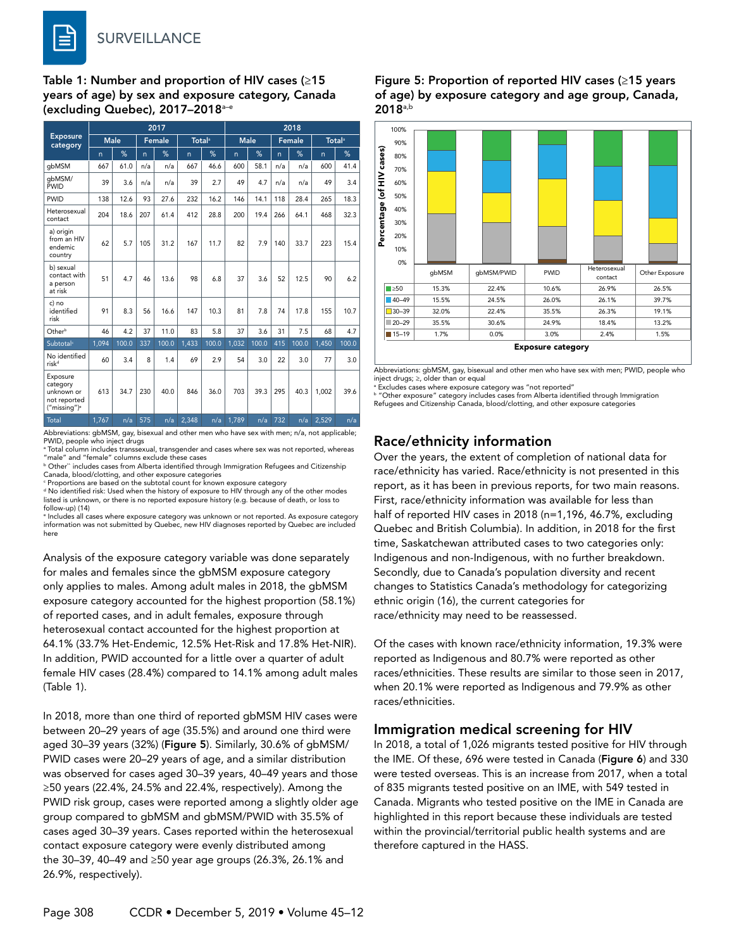Table 1: Number and proportion of HIV cases (≥15 years of age) by sex and exposure category, Canada (excluding Quebec), 2017–2018a–e

| <b>Exposure</b><br>category                                                    | 2017         |       |               |       |                           |       | 2018        |       |        |       |                           |       |
|--------------------------------------------------------------------------------|--------------|-------|---------------|-------|---------------------------|-------|-------------|-------|--------|-------|---------------------------|-------|
|                                                                                | <b>Male</b>  |       | <b>Female</b> |       | <b>Total</b> <sup>a</sup> |       | <b>Male</b> |       | Female |       | <b>Total</b> <sup>a</sup> |       |
|                                                                                | $\mathsf{n}$ | %     | n.            | %     | n.                        | %     | n           | %     | n.     | %     | n.                        | %     |
| gbMSM                                                                          | 667          | 61.0  | n/a           | n/a   | 667                       | 46.6  | 600         | 58.1  | n/a    | n/a   | 600                       | 41.4  |
| qbMSM/<br>PWID                                                                 | 39           | 3.6   | n/a           | n/a   | 39                        | 2.7   | 49          | 4.7   | n/a    | n/a   | 49                        | 3.4   |
| <b>PWID</b>                                                                    | 138          | 12.6  | 93            | 27.6  | 232                       | 16.2  | 146         | 14.1  | 118    | 28.4  | 265                       | 18.3  |
| Heterosexual<br>contact                                                        | 204          | 18.6  | 207           | 61.4  | 412                       | 28.8  | 200         | 19.4  | 266    | 64.1  | 468                       | 32.3  |
| a) origin<br>from an HIV<br>endemic<br>country                                 | 62           | 5.7   | 105           | 31.2  | 167                       | 11.7  | 82          | 7.9   | 140    | 33.7  | 223                       | 15.4  |
| b) sexual<br>contact with<br>a person<br>at risk                               | 51           | 4.7   | 46            | 13.6  | 98                        | 6.8   | 37          | 3.6   | 52     | 12.5  | 90                        | 6.2   |
| c) no<br>identified<br>risk                                                    | 91           | 8.3   | 56            | 16.6  | 147                       | 10.3  | 81          | 7.8   | 74     | 17.8  | 155                       | 10.7  |
| Otherb                                                                         | 46           | 4.2   | 37            | 11.0  | 83                        | 5.8   | 37          | 3.6   | 31     | 7.5   | 68                        | 4.7   |
| Subtotal <sup>c</sup>                                                          | 1,094        | 100.0 | 337           | 100.0 | 1,433                     | 100.0 | 1,032       | 100.0 | 415    | 100.0 | 1,450                     | 100.0 |
| No identified<br>risk <sup>d</sup>                                             | 60           | 3.4   | 8             | 1.4   | 69                        | 2.9   | 54          | 3.0   | 22     | 3.0   | 77                        | 3.0   |
| Exposure<br>category<br>unknown or<br>not reported<br>("missing") <sup>e</sup> | 613          | 34.7  | 230           | 40.0  | 846                       | 36.0  | 703         | 39.3  | 295    | 40.3  | 1,002                     | 39.6  |
| Total                                                                          | 1,767        | n/a   | 575           | n/a   | 2,348                     | n/a   | 1,789       | n/a   | 732    | n/a   | 2,529                     | n/a   |

Abbreviations: gbMSM, gay, bisexual and other men who have sex with men; n/a, not applicable; PWID, people who inject drugs

a Total column includes transsexual, transgender and cases where sex was not reported, whereas

"male" and "female" columns exclude these cases b Other`` includes cases from Alberta identified through Immigration Refugees and Citizenship Canada, blood/clotting, and other exposure categories

 $^{\rm c}$  Proportions are based on the subtotal count for known exposure category<br><sup>d</sup> No identified risk: Used when the history of exposure to HIV through any of the other modes

listed is unknown, or there is no reported exposure history (e.g. because of death, or loss to follow-up) (14)

e Includes all cases where exposure category was unknown or not reported. As exposure category information was not submitted by Quebec, new HIV diagnoses reported by Quebec are included here

Analysis of the exposure category variable was done separately for males and females since the gbMSM exposure category only applies to males. Among adult males in 2018, the gbMSM exposure category accounted for the highest proportion (58.1%) of reported cases, and in adult females, exposure through heterosexual contact accounted for the highest proportion at 64.1% (33.7% Het-Endemic, 12.5% Het-Risk and 17.8% Het-NIR). In addition, PWID accounted for a little over a quarter of adult female HIV cases (28.4%) compared to 14.1% among adult males (Table 1).

In 2018, more than one third of reported gbMSM HIV cases were between 20–29 years of age (35.5%) and around one third were aged 30–39 years (32%) (Figure 5). Similarly, 30.6% of gbMSM/ PWID cases were 20–29 years of age, and a similar distribution was observed for cases aged 30–39 years, 40–49 years and those ≥50 years (22.4%, 24.5% and 22.4%, respectively). Among the PWID risk group, cases were reported among a slightly older age group compared to gbMSM and gbMSM/PWID with 35.5% of cases aged 30–39 years. Cases reported within the heterosexual contact exposure category were evenly distributed among the 30–39, 40–49 and ≥50 year age groups (26.3%, 26.1% and 26.9%, respectively).

#### Figure 5: Proportion of reported HIV cases (≥15 years of age) by exposure category and age group, Canada, 2018a,b



Abbreviations: gbMSM, gay, bisexual and other men who have sex with men; PWID, people who inject drugs; ≥, older than or equal

a Excludes cases where exposure category was "not reported"

b "Other exposure" category includes cases from Alberta identified through Immigration Refugees and Citizenship Canada, blood/clotting, and other exposure categories

### Race/ethnicity information

Over the years, the extent of completion of national data for race/ethnicity has varied. Race/ethnicity is not presented in this report, as it has been in previous reports, for two main reasons. First, race/ethnicity information was available for less than half of reported HIV cases in 2018 (n=1,196, 46.7%, excluding Quebec and British Columbia). In addition, in 2018 for the first time, Saskatchewan attributed cases to two categories only: Indigenous and non-Indigenous, with no further breakdown. Secondly, due to Canada's population diversity and recent changes to Statistics Canada's methodology for categorizing ethnic origin (16), the current categories for race/ethnicity may need to be reassessed.

Of the cases with known race/ethnicity information, 19.3% were reported as Indigenous and 80.7% were reported as other races/ethnicities. These results are similar to those seen in 2017, when 20.1% were reported as Indigenous and 79.9% as other races/ethnicities.

### Immigration medical screening for HIV

In 2018, a total of 1,026 migrants tested positive for HIV through the IME. Of these, 696 were tested in Canada (Figure 6) and 330 were tested overseas. This is an increase from 2017, when a total of 835 migrants tested positive on an IME, with 549 tested in Canada. Migrants who tested positive on the IME in Canada are highlighted in this report because these individuals are tested within the provincial/territorial public health systems and are therefore captured in the HASS.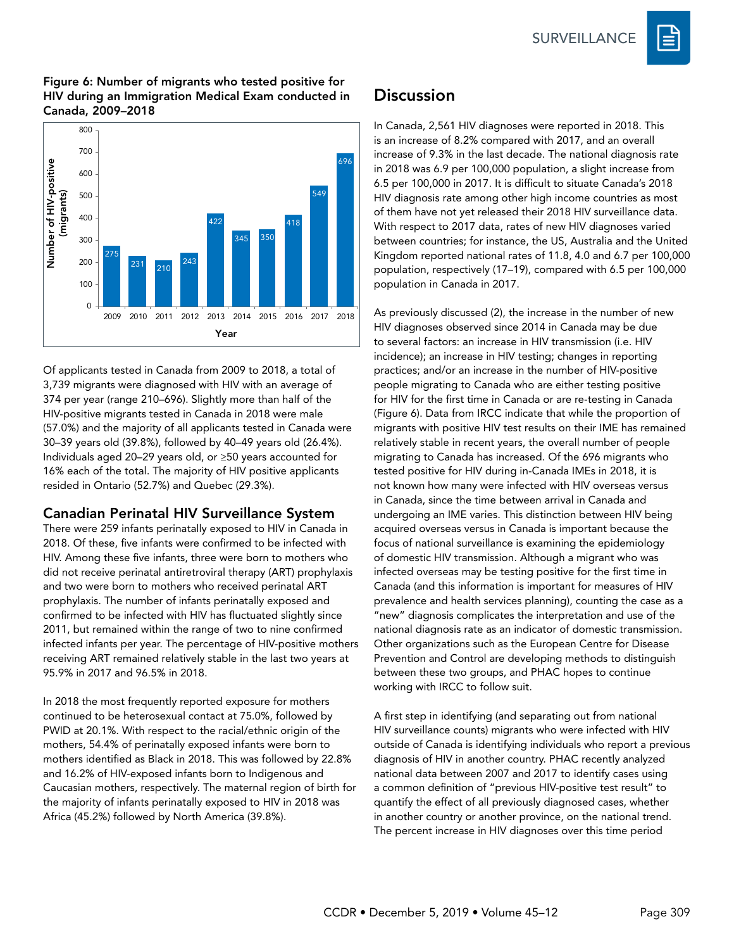**SURVEILLANCE** 



#### Figure 6: Number of migrants who tested positive for HIV during an Immigration Medical Exam conducted in Canada, 2009–2018



Of applicants tested in Canada from 2009 to 2018, a total of 3,739 migrants were diagnosed with HIV with an average of 374 per year (range 210–696). Slightly more than half of the HIV-positive migrants tested in Canada in 2018 were male (57.0%) and the majority of all applicants tested in Canada were 30–39 years old (39.8%), followed by 40–49 years old (26.4%). Individuals aged 20–29 years old, or ≥50 years accounted for 16% each of the total. The majority of HIV positive applicants resided in Ontario (52.7%) and Quebec (29.3%).

# Canadian Perinatal HIV Surveillance System

There were 259 infants perinatally exposed to HIV in Canada in 2018. Of these, five infants were confirmed to be infected with HIV. Among these five infants, three were born to mothers who did not receive perinatal antiretroviral therapy (ART) prophylaxis and two were born to mothers who received perinatal ART prophylaxis. The number of infants perinatally exposed and confirmed to be infected with HIV has fluctuated slightly since 2011, but remained within the range of two to nine confirmed infected infants per year. The percentage of HIV-positive mothers receiving ART remained relatively stable in the last two years at 95.9% in 2017 and 96.5% in 2018.

In 2018 the most frequently reported exposure for mothers continued to be heterosexual contact at 75.0%, followed by PWID at 20.1%. With respect to the racial/ethnic origin of the mothers, 54.4% of perinatally exposed infants were born to mothers identified as Black in 2018. This was followed by 22.8% and 16.2% of HIV-exposed infants born to Indigenous and Caucasian mothers, respectively. The maternal region of birth for the majority of infants perinatally exposed to HIV in 2018 was Africa (45.2%) followed by North America (39.8%).

# **Discussion**

In Canada, 2,561 HIV diagnoses were reported in 2018. This is an increase of 8.2% compared with 2017, and an overall increase of 9.3% in the last decade. The national diagnosis rate in 2018 was 6.9 per 100,000 population, a slight increase from 6.5 per 100,000 in 2017. It is difficult to situate Canada's 2018 HIV diagnosis rate among other high income countries as most of them have not yet released their 2018 HIV surveillance data. With respect to 2017 data, rates of new HIV diagnoses varied between countries; for instance, the US, Australia and the United Kingdom reported national rates of 11.8, 4.0 and 6.7 per 100,000 population, respectively (17–19), compared with 6.5 per 100,000 population in Canada in 2017.

As previously discussed (2), the increase in the number of new HIV diagnoses observed since 2014 in Canada may be due to several factors: an increase in HIV transmission (i.e. HIV incidence); an increase in HIV testing; changes in reporting practices; and/or an increase in the number of HIV-positive people migrating to Canada who are either testing positive for HIV for the first time in Canada or are re-testing in Canada (Figure 6). Data from IRCC indicate that while the proportion of migrants with positive HIV test results on their IME has remained relatively stable in recent years, the overall number of people migrating to Canada has increased. Of the 696 migrants who tested positive for HIV during in-Canada IMEs in 2018, it is not known how many were infected with HIV overseas versus in Canada, since the time between arrival in Canada and undergoing an IME varies. This distinction between HIV being acquired overseas versus in Canada is important because the focus of national surveillance is examining the epidemiology of domestic HIV transmission. Although a migrant who was infected overseas may be testing positive for the first time in Canada (and this information is important for measures of HIV prevalence and health services planning), counting the case as a "new" diagnosis complicates the interpretation and use of the national diagnosis rate as an indicator of domestic transmission. Other organizations such as the European Centre for Disease Prevention and Control are developing methods to distinguish between these two groups, and PHAC hopes to continue working with IRCC to follow suit.

A first step in identifying (and separating out from national HIV surveillance counts) migrants who were infected with HIV outside of Canada is identifying individuals who report a previous diagnosis of HIV in another country. PHAC recently analyzed national data between 2007 and 2017 to identify cases using a common definition of "previous HIV-positive test result" to quantify the effect of all previously diagnosed cases, whether in another country or another province, on the national trend. The percent increase in HIV diagnoses over this time period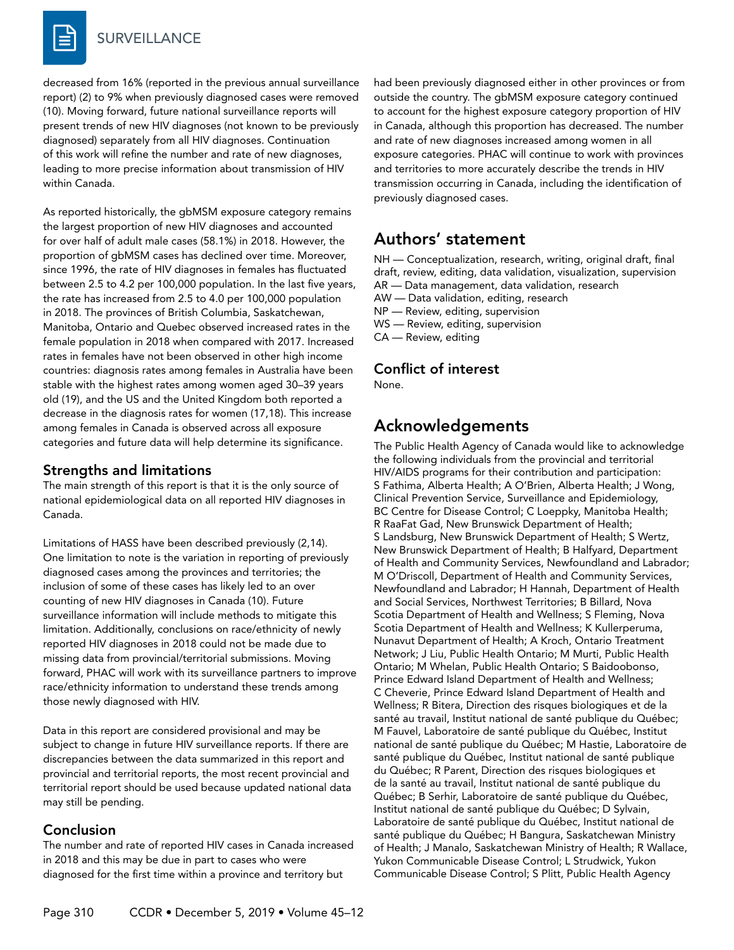decreased from 16% (reported in the previous annual surveillance report) (2) to 9% when previously diagnosed cases were removed (10). Moving forward, future national surveillance reports will present trends of new HIV diagnoses (not known to be previously diagnosed) separately from all HIV diagnoses. Continuation of this work will refine the number and rate of new diagnoses, leading to more precise information about transmission of HIV within Canada.

As reported historically, the gbMSM exposure category remains the largest proportion of new HIV diagnoses and accounted for over half of adult male cases (58.1%) in 2018. However, the proportion of gbMSM cases has declined over time. Moreover, since 1996, the rate of HIV diagnoses in females has fluctuated between 2.5 to 4.2 per 100,000 population. In the last five years, the rate has increased from 2.5 to 4.0 per 100,000 population in 2018. The provinces of British Columbia, Saskatchewan, Manitoba, Ontario and Quebec observed increased rates in the female population in 2018 when compared with 2017. Increased rates in females have not been observed in other high income countries: diagnosis rates among females in Australia have been stable with the highest rates among women aged 30–39 years old (19), and the US and the United Kingdom both reported a decrease in the diagnosis rates for women (17,18). This increase among females in Canada is observed across all exposure categories and future data will help determine its significance.

### Strengths and limitations

The main strength of this report is that it is the only source of national epidemiological data on all reported HIV diagnoses in Canada.

Limitations of HASS have been described previously (2,14). One limitation to note is the variation in reporting of previously diagnosed cases among the provinces and territories; the inclusion of some of these cases has likely led to an over counting of new HIV diagnoses in Canada (10). Future surveillance information will include methods to mitigate this limitation. Additionally, conclusions on race/ethnicity of newly reported HIV diagnoses in 2018 could not be made due to missing data from provincial/territorial submissions. Moving forward, PHAC will work with its surveillance partners to improve race/ethnicity information to understand these trends among those newly diagnosed with HIV.

Data in this report are considered provisional and may be subject to change in future HIV surveillance reports. If there are discrepancies between the data summarized in this report and provincial and territorial reports, the most recent provincial and territorial report should be used because updated national data may still be pending.

### Conclusion

The number and rate of reported HIV cases in Canada increased in 2018 and this may be due in part to cases who were diagnosed for the first time within a province and territory but

had been previously diagnosed either in other provinces or from outside the country. The gbMSM exposure category continued to account for the highest exposure category proportion of HIV in Canada, although this proportion has decreased. The number and rate of new diagnoses increased among women in all exposure categories. PHAC will continue to work with provinces and territories to more accurately describe the trends in HIV transmission occurring in Canada, including the identification of previously diagnosed cases.

# Authors' statement

NH — Conceptualization, research, writing, original draft, final draft, review, editing, data validation, visualization, supervision AR — Data management, data validation, research

- AW Data validation, editing, research
- NP Review, editing, supervision

WS — Review, editing, supervision

CA — Review, editing

# Conflict of interest

None.

# Acknowledgements

The Public Health Agency of Canada would like to acknowledge the following individuals from the provincial and territorial HIV/AIDS programs for their contribution and participation: S Fathima, Alberta Health; A O'Brien, Alberta Health; J Wong, Clinical Prevention Service, Surveillance and Epidemiology, BC Centre for Disease Control; C Loeppky, Manitoba Health; R RaaFat Gad, New Brunswick Department of Health; S Landsburg, New Brunswick Department of Health; S Wertz, New Brunswick Department of Health; B Halfyard, Department of Health and Community Services, Newfoundland and Labrador; M O'Driscoll, Department of Health and Community Services, Newfoundland and Labrador; H Hannah, Department of Health and Social Services, Northwest Territories; B Billard, Nova Scotia Department of Health and Wellness; S Fleming, Nova Scotia Department of Health and Wellness; K Kullerperuma, Nunavut Department of Health; A Kroch, Ontario Treatment Network; J Liu, Public Health Ontario; M Murti, Public Health Ontario; M Whelan, Public Health Ontario; S Baidoobonso, Prince Edward Island Department of Health and Wellness; C Cheverie, Prince Edward Island Department of Health and Wellness; R Bitera, Direction des risques biologiques et de la santé au travail, Institut national de santé publique du Québec; M Fauvel, Laboratoire de santé publique du Québec, Institut national de santé publique du Québec; M Hastie, Laboratoire de santé publique du Québec, Institut national de santé publique du Québec; R Parent, Direction des risques biologiques et de la santé au travail, Institut national de santé publique du Québec; B Serhir, Laboratoire de santé publique du Québec, Institut national de santé publique du Québec; D Sylvain, Laboratoire de santé publique du Québec, Institut national de santé publique du Québec; H Bangura, Saskatchewan Ministry of Health; J Manalo, Saskatchewan Ministry of Health; R Wallace, Yukon Communicable Disease Control; L Strudwick, Yukon Communicable Disease Control; S Plitt, Public Health Agency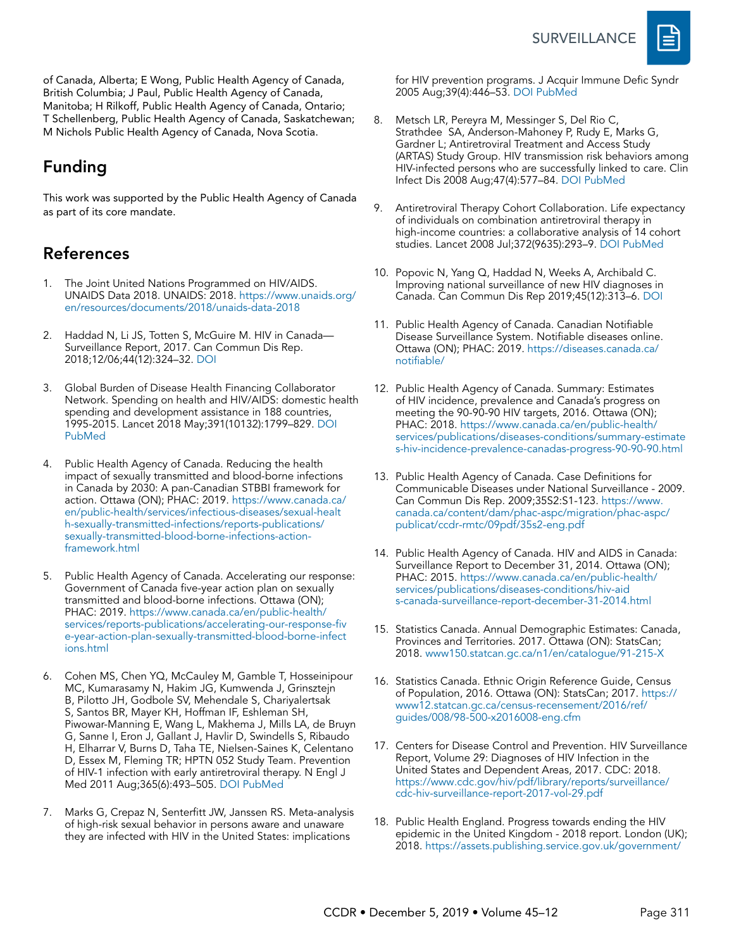

of Canada, Alberta; E Wong, Public Health Agency of Canada, British Columbia; J Paul, Public Health Agency of Canada, Manitoba; H Rilkoff, Public Health Agency of Canada, Ontario; T Schellenberg, Public Health Agency of Canada, Saskatchewan; M Nichols Public Health Agency of Canada, Nova Scotia.

# Funding

This work was supported by the Public Health Agency of Canada as part of its core mandate.

# References

- 1. The Joint United Nations Programmed on HIV/AIDS. UNAIDS Data 2018. UNAIDS: 2018. [https://www.unaids.org/](https://www.unaids.org/en/resources/documents/2018/unaids-data-2018http://) [en/resources/documents/2018/unaids-data-2018](https://www.unaids.org/en/resources/documents/2018/unaids-data-2018http://)
- Haddad N, Li JS, Totten S, McGuire M. HIV in Canada-Surveillance Report, 2017. Can Commun Dis Rep. 2018;12/06;44(12):324–32. [DOI](https://doi.org/10.14745/ccdr.v44i12a03)
- 3. Global Burden of Disease Health Financing Collaborator Network. Spending on health and HIV/AIDS: domestic health spending and development assistance in 188 countries, 1995-2015. Lancet 2018 May;391(10132):1799–829. [DOI](https://doi.org/10.1016/S0140-6736(18)30698-6) [PubMed](https://www.ncbi.nlm.nih.gov/entrez/query.fcgi?cmd=Retrieve&db=PubMed&list_uids=29678342&dopt=Abstract)
- 4. Public Health Agency of Canada. Reducing the health impact of sexually transmitted and blood-borne infections in Canada by 2030: A pan-Canadian STBBI framework for action. Ottawa (ON); PHAC: 2019. [https://www.canada.ca/](https://www.canada.ca/en/public-health/services/infectious-diseases/sexual-health-sexually-transmitted-infections/reports-publications/sexually-transmitted-blood-borne-infections-action-framework.html) [en/public-health/services/infectious-diseases/sexual-healt](https://www.canada.ca/en/public-health/services/infectious-diseases/sexual-health-sexually-transmitted-infections/reports-publications/sexually-transmitted-blood-borne-infections-action-framework.html) [h-sexually-transmitted-infections/reports-publications/](https://www.canada.ca/en/public-health/services/infectious-diseases/sexual-health-sexually-transmitted-infections/reports-publications/sexually-transmitted-blood-borne-infections-action-framework.html) [sexually-transmitted-blood-borne-infections-action](https://www.canada.ca/en/public-health/services/infectious-diseases/sexual-health-sexually-transmitted-infections/reports-publications/sexually-transmitted-blood-borne-infections-action-framework.html)[framework.html](https://www.canada.ca/en/public-health/services/infectious-diseases/sexual-health-sexually-transmitted-infections/reports-publications/sexually-transmitted-blood-borne-infections-action-framework.html)
- 5. Public Health Agency of Canada. Accelerating our response: Government of Canada five-year action plan on sexually transmitted and blood-borne infections. Ottawa (ON); PHAC: 2019. [https://www.canada.ca/en/public-health/](https://www.canada.ca/en/public-health/services/reports-publications/accelerating-our-response-five-year-action-plan-sexually-transmitted-blood-borne-infections.html) [services/reports-publications/accelerating-our-response-fiv](https://www.canada.ca/en/public-health/services/reports-publications/accelerating-our-response-five-year-action-plan-sexually-transmitted-blood-borne-infections.html) [e-year-action-plan-sexually-transmitted-blood-borne-infect](https://www.canada.ca/en/public-health/services/reports-publications/accelerating-our-response-five-year-action-plan-sexually-transmitted-blood-borne-infections.html) [ions.html](https://www.canada.ca/en/public-health/services/reports-publications/accelerating-our-response-five-year-action-plan-sexually-transmitted-blood-borne-infections.html)
- 6. Cohen MS, Chen YQ, McCauley M, Gamble T, Hosseinipour MC, Kumarasamy N, Hakim JG, Kumwenda J, Grinsztejn B, Pilotto JH, Godbole SV, Mehendale S, Chariyalertsak S, Santos BR, Mayer KH, Hoffman IF, Eshleman SH, Piwowar-Manning E, Wang L, Makhema J, Mills LA, de Bruyn G, Sanne I, Eron J, Gallant J, Havlir D, Swindells S, Ribaudo H, Elharrar V, Burns D, Taha TE, Nielsen-Saines K, Celentano D, Essex M, Fleming TR; HPTN 052 Study Team. Prevention of HIV-1 infection with early antiretroviral therapy. N Engl J Med 2011 Aug;365(6):493–505. [DOI](https://doi.org/10.1056/NEJMoa1105243) [PubMed](https://www.ncbi.nlm.nih.gov/entrez/query.fcgi?cmd=Retrieve&db=PubMed&list_uids=21767103&dopt=Abstract)
- 7. Marks G, Crepaz N, Senterfitt JW, Janssen RS. Meta-analysis of high-risk sexual behavior in persons aware and unaware they are infected with HIV in the United States: implications

for HIV prevention programs. J Acquir Immune Defic Syndr 2005 Aug;39(4):446–53. [DOI](https://doi.org/10.1097/01.qai.0000151079.33935.79
) [PubMed](https://www.ncbi.nlm.nih.gov/pubmed/16010168)

- 8. Metsch LR, Pereyra M, Messinger S, Del Rio C, Strathdee SA, Anderson-Mahoney P, Rudy E, Marks G, Gardner L; Antiretroviral Treatment and Access Study (ARTAS) Study Group. HIV transmission risk behaviors among HIV-infected persons who are successfully linked to care. Clin Infect Dis 2008 Aug;47(4):577–84. [DOI](https://doi.org/10.1086/590153) [PubMed](https://www.ncbi.nlm.nih.gov/entrez/query.fcgi?cmd=Retrieve&db=PubMed&list_uids=18624629&dopt=Abstract)
- 9. Antiretroviral Therapy Cohort Collaboration. Life expectancy of individuals on combination antiretroviral therapy in high-income countries: a collaborative analysis of 14 cohort studies. Lancet 2008 Jul;372(9635):293–9. [DOI](https://doi.org/10.1016/S0140-6736(08)61113-7) [PubMed](https://www.ncbi.nlm.nih.gov/entrez/query.fcgi?cmd=Retrieve&db=PubMed&list_uids=18657708&dopt=Abstract)
- 10. Popovic N, Yang Q, Haddad N, Weeks A, Archibald C. Improving national surveillance of new HIV diagnoses in Canada. Can Commun Dis Rep 2019;45(12):313–6. [DOI](https://doi.org/10.14745/ccdr.v45i12a02)
- 11. Public Health Agency of Canada. Canadian Notifiable Disease Surveillance System. Notifiable diseases online. Ottawa (ON); PHAC: 2019. [https://diseases.canada.ca/](https://diseases.canada.ca/notifiable/) [notifiable/](https://diseases.canada.ca/notifiable/)
- 12. Public Health Agency of Canada. Summary: Estimates of HIV incidence, prevalence and Canada's progress on meeting the 90-90-90 HIV targets, 2016. Ottawa (ON); PHAC: 2018. [https://www.canada.ca/en/public-health/](https://www.canada.ca/en/public-health/services/publications/diseases-conditions/summary-estimates-hiv-incidence-prevalence-canadas-progress-90-90-90.html) [services/publications/diseases-conditions/summary-estimate](https://www.canada.ca/en/public-health/services/publications/diseases-conditions/summary-estimates-hiv-incidence-prevalence-canadas-progress-90-90-90.html) [s-hiv-incidence-prevalence-canadas-progress-90-90-90.html](https://www.canada.ca/en/public-health/services/publications/diseases-conditions/summary-estimates-hiv-incidence-prevalence-canadas-progress-90-90-90.html)
- 13. Public Health Agency of Canada. Case Definitions for Communicable Diseases under National Surveillance - 2009. Can Commun Dis Rep. 2009;35S2:S1-123. [https://www.](https://www.canada.ca/content/dam/phac-aspc/migration/phac-aspc/publicat/ccdr-rmtc/09pdf/35s2-eng.pdf) [canada.ca/content/dam/phac-aspc/migration/phac-aspc/](https://www.canada.ca/content/dam/phac-aspc/migration/phac-aspc/publicat/ccdr-rmtc/09pdf/35s2-eng.pdf) [publicat/ccdr-rmtc/09pdf/35s2-eng.pdf](https://www.canada.ca/content/dam/phac-aspc/migration/phac-aspc/publicat/ccdr-rmtc/09pdf/35s2-eng.pdf)
- 14. Public Health Agency of Canada. HIV and AIDS in Canada: Surveillance Report to December 31, 2014. Ottawa (ON); PHAC: 2015. [https://www.canada.ca/en/public-health/](https://www.canada.ca/en/public-health/services/publications/diseases-conditions/hiv-aids-canada-surveillance-report-december-31-2014.html) [services/publications/diseases-conditions/hiv-aid](https://www.canada.ca/en/public-health/services/publications/diseases-conditions/hiv-aids-canada-surveillance-report-december-31-2014.html) [s-canada-surveillance-report-december-31-2014.html](https://www.canada.ca/en/public-health/services/publications/diseases-conditions/hiv-aids-canada-surveillance-report-december-31-2014.html)
- 15. Statistics Canada. Annual Demographic Estimates: Canada, Provinces and Territories. 2017. Ottawa (ON): StatsCan; 2018.<www150.statcan.gc.ca/n1/en/catalogue/91-215-X>
- 16. Statistics Canada. Ethnic Origin Reference Guide, Census of Population, 2016. Ottawa (ON): StatsCan; 2017. [https://](https://www12.statcan.gc.ca/census-recensement/2016/ref/guides/008/98-500-x2016008-eng.cfm) [www12.statcan.gc.ca/census-recensement/2016/ref/](https://www12.statcan.gc.ca/census-recensement/2016/ref/guides/008/98-500-x2016008-eng.cfm) [guides/008/98-500-x2016008-eng.cfm](https://www12.statcan.gc.ca/census-recensement/2016/ref/guides/008/98-500-x2016008-eng.cfm)
- 17. Centers for Disease Control and Prevention. HIV Surveillance Report, Volume 29: Diagnoses of HIV Infection in the United States and Dependent Areas, 2017. CDC: 2018. [https://www.cdc.gov/hiv/pdf/library/reports/surveillance/](https://www.cdc.gov/hiv/pdf/library/reports/surveillance/cdc-hiv-surveillance-report-2017-vol-29.pdf) [cdc-hiv-surveillance-report-2017-vol-29.pdf](https://www.cdc.gov/hiv/pdf/library/reports/surveillance/cdc-hiv-surveillance-report-2017-vol-29.pdf)
- 18. Public Health England. Progress towards ending the HIV epidemic in the United Kingdom - 2018 report. London (UK); 2018. [https://assets.publishing.service.gov.uk/government/](https://assets.publishing.service.gov.uk/government/uploads/system/uploads/attachment_data/file/821273/Progress_towards_ending_the_HIV_epidemic_in_the_UK.pdf)